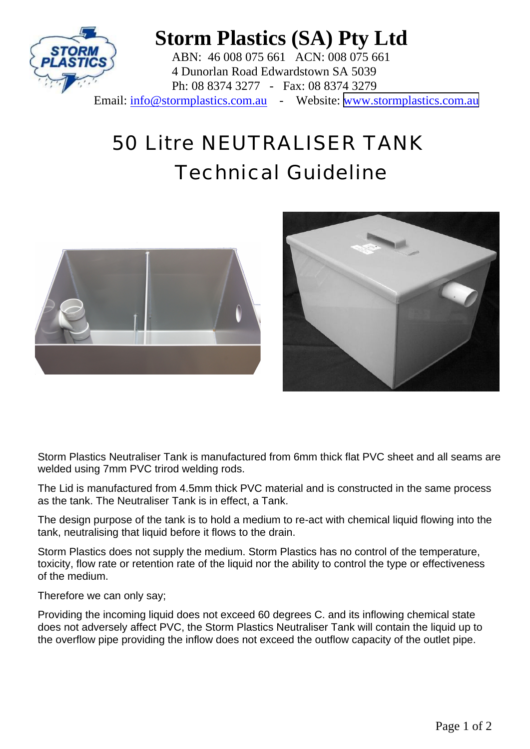

## **Storm Plastics (SA) Pty Ltd**

ABN: 46 008 075 661 ACN: 008 075 661 4 Dunorlan Road Edwardstown SA 5039 Ph: 08 8374 3277 - Fax: 08 8374 3279 Email: info@stormplastics.com.au - Website: [www.stormplastics.com.au](http://www.stormplastics.com.au)

## 50 Litre NEUTRALISER TANK Technical Guideline





Storm Plastics Neutraliser Tank is manufactured from 6mm thick flat PVC sheet and all seams are welded using 7mm PVC trirod welding rods.

The Lid is manufactured from 4.5mm thick PVC material and is constructed in the same process as the tank. The Neutraliser Tank is in effect, a Tank.

The design purpose of the tank is to hold a medium to re-act with chemical liquid flowing into the tank, neutralising that liquid before it flows to the drain.

Storm Plastics does not supply the medium. Storm Plastics has no control of the temperature, toxicity, flow rate or retention rate of the liquid nor the ability to control the type or effectiveness of the medium.

Therefore we can only say;

Providing the incoming liquid does not exceed 60 degrees C. and its inflowing chemical state does not adversely affect PVC, the Storm Plastics Neutraliser Tank will contain the liquid up to the overflow pipe providing the inflow does not exceed the outflow capacity of the outlet pipe.